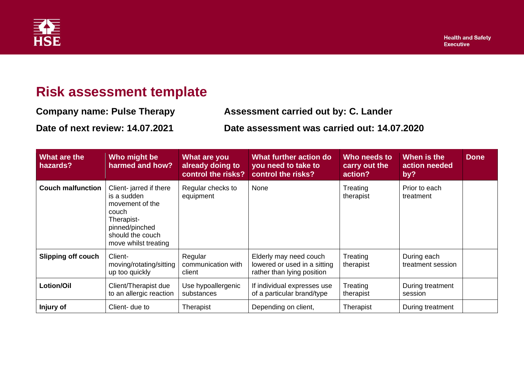

## **Risk assessment template**

**Company name: Pulse Therapy Assessment carried out by: C. Lander**

**Date of next review: 14.07.2021 Date assessment was carried out: 14.07.2020**

| What are the<br>hazards?  | Who might be<br>harmed and how?                                                                                                               | What are you<br>already doing to<br>control the risks? | What further action do<br>you need to take to<br>control the risks?                  | Who needs to<br>carry out the<br>action? | When is the<br>action needed<br>by? | <b>Done</b> |
|---------------------------|-----------------------------------------------------------------------------------------------------------------------------------------------|--------------------------------------------------------|--------------------------------------------------------------------------------------|------------------------------------------|-------------------------------------|-------------|
| <b>Couch malfunction</b>  | Client-jarred if there<br>is a sudden<br>movement of the<br>couch<br>Therapist-<br>pinned/pinched<br>should the couch<br>move whilst treating | Regular checks to<br>equipment                         | None                                                                                 | Treating<br>therapist                    | Prior to each<br>treatment          |             |
| <b>Slipping off couch</b> | Client-<br>moving/rotating/sitting<br>up too quickly                                                                                          | Regular<br>communication with<br>client                | Elderly may need couch<br>lowered or used in a sitting<br>rather than lying position | Treating<br>therapist                    | During each<br>treatment session    |             |
| Lotion/Oil                | Client/Therapist due<br>to an allergic reaction                                                                                               | Use hypoallergenic<br>substances                       | If individual expresses use<br>of a particular brand/type                            | Treating<br>therapist                    | During treatment<br>session         |             |
| Injury of                 | Client- due to                                                                                                                                | Therapist                                              | Depending on client,                                                                 | Therapist                                | During treatment                    |             |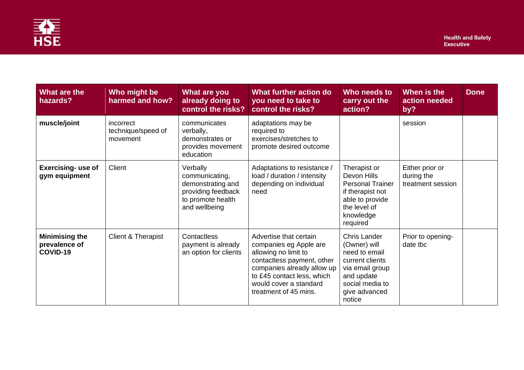

| What are the<br>hazards?                           | Who might be<br>harmed and how?             | What are you<br>already doing to<br>control the risks?                                                      | <b>What further action do</b><br>you need to take to<br>control the risks?                                                                                                                                            | Who needs to<br>carry out the<br>action?                                                                                                               | When is the<br>action needed<br>by?                | <b>Done</b> |
|----------------------------------------------------|---------------------------------------------|-------------------------------------------------------------------------------------------------------------|-----------------------------------------------------------------------------------------------------------------------------------------------------------------------------------------------------------------------|--------------------------------------------------------------------------------------------------------------------------------------------------------|----------------------------------------------------|-------------|
| muscle/joint                                       | incorrect<br>technique/speed of<br>movement | communicates<br>verbally,<br>demonstrates or<br>provides movement<br>education                              | adaptations may be<br>required to<br>exercises/stretches to<br>promote desired outcome                                                                                                                                |                                                                                                                                                        | session                                            |             |
| <b>Exercising- use of</b><br>gym equipment         | Client                                      | Verbally<br>communicating,<br>demonstrating and<br>providing feedback<br>to promote health<br>and wellbeing | Adaptations to resistance /<br>load / duration / intensity<br>depending on individual<br>need                                                                                                                         | Therapist or<br>Devon Hills<br><b>Personal Trainer</b><br>if therapist not<br>able to provide<br>the level of<br>knowledge<br>required                 | Either prior or<br>during the<br>treatment session |             |
| <b>Minimising the</b><br>prevalence of<br>COVID-19 | Client & Therapist                          | Contactless<br>payment is already<br>an option for clients                                                  | Advertise that certain<br>companies eg Apple are<br>allowing no limit to<br>contactless payment, other<br>companies already allow up<br>to £45 contact less, which<br>would cover a standard<br>treatment of 45 mins. | <b>Chris Lander</b><br>(Owner) will<br>need to email<br>current clients<br>via email group<br>and update<br>social media to<br>give advanced<br>notice | Prior to opening-<br>date tbc                      |             |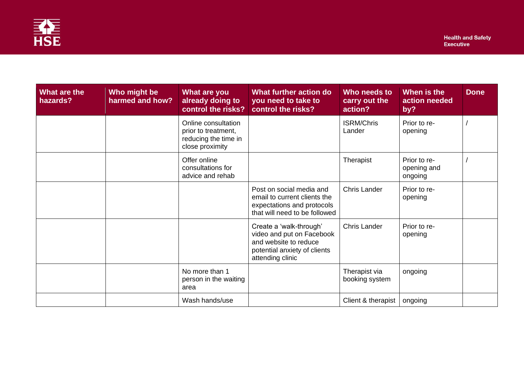

| What are the<br>hazards? | Who might be<br>harmed and how? | What are you<br>already doing to<br>control the risks?                                | What further action do<br>you need to take to<br>control the risks?                                                               | Who needs to<br>carry out the<br>action? | When is the<br>action needed<br>by?    | <b>Done</b> |
|--------------------------|---------------------------------|---------------------------------------------------------------------------------------|-----------------------------------------------------------------------------------------------------------------------------------|------------------------------------------|----------------------------------------|-------------|
|                          |                                 | Online consultation<br>prior to treatment,<br>reducing the time in<br>close proximity |                                                                                                                                   | <b>ISRM/Chris</b><br>Lander              | Prior to re-<br>opening                |             |
|                          |                                 | Offer online<br>consultations for<br>advice and rehab                                 |                                                                                                                                   | Therapist                                | Prior to re-<br>opening and<br>ongoing |             |
|                          |                                 |                                                                                       | Post on social media and<br>email to current clients the<br>expectations and protocols<br>that will need to be followed           | Chris Lander                             | Prior to re-<br>opening                |             |
|                          |                                 |                                                                                       | Create a 'walk-through'<br>video and put on Facebook<br>and website to reduce<br>potential anxiety of clients<br>attending clinic | <b>Chris Lander</b>                      | Prior to re-<br>opening                |             |
|                          |                                 | No more than 1<br>person in the waiting<br>area                                       |                                                                                                                                   | Therapist via<br>booking system          | ongoing                                |             |
|                          |                                 | Wash hands/use                                                                        |                                                                                                                                   | Client & therapist                       | ongoing                                |             |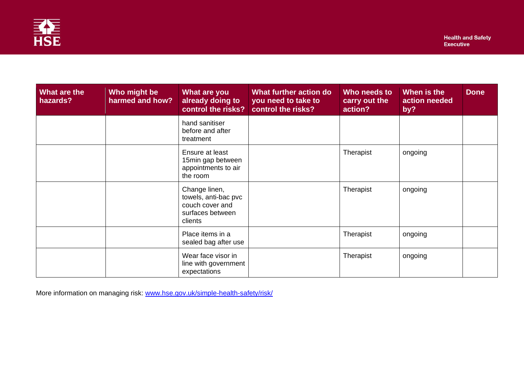

| What are the<br>hazards? | Who might be<br>harmed and how? | What are you<br>already doing to<br>control the risks?                                  | What further action do<br>you need to take to<br>control the risks? | Who needs to<br>carry out the<br>action? | When is the<br>action needed<br>by? | <b>Done</b> |
|--------------------------|---------------------------------|-----------------------------------------------------------------------------------------|---------------------------------------------------------------------|------------------------------------------|-------------------------------------|-------------|
|                          |                                 | hand sanitiser<br>before and after<br>treatment                                         |                                                                     |                                          |                                     |             |
|                          |                                 | Ensure at least<br>15min gap between<br>appointments to air<br>the room                 |                                                                     | Therapist                                | ongoing                             |             |
|                          |                                 | Change linen,<br>towels, anti-bac pvc<br>couch cover and<br>surfaces between<br>clients |                                                                     | Therapist                                | ongoing                             |             |
|                          |                                 | Place items in a<br>sealed bag after use                                                |                                                                     | Therapist                                | ongoing                             |             |
|                          |                                 | Wear face visor in<br>line with government<br>expectations                              |                                                                     | Therapist                                | ongoing                             |             |

More information on managing risk: [www.hse.gov.uk/simple-health-safety/risk/](http://www.hse.gov.uk/simple-health-safety/risk/)